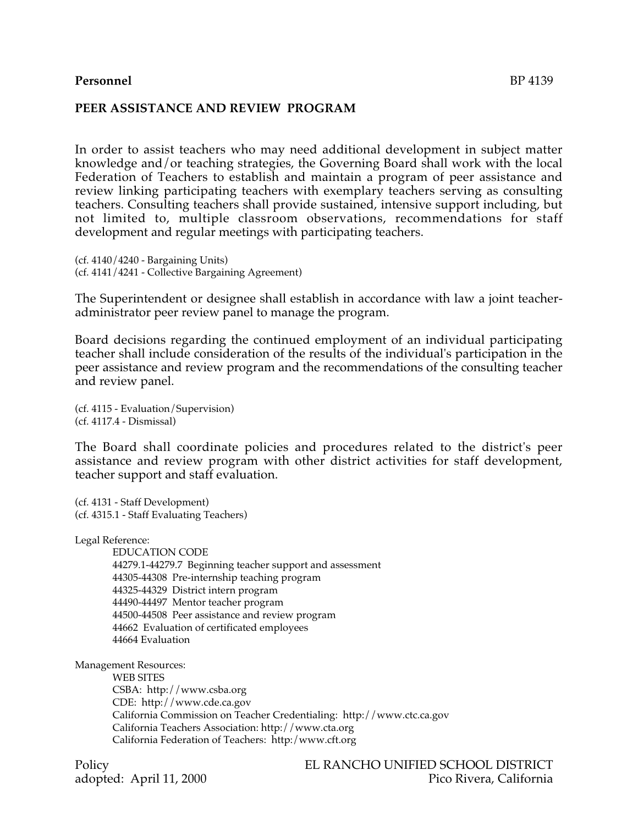# **Personnel** BP 4139

#### **PEER ASSISTANCE AND REVIEW PROGRAM**

In order to assist teachers who may need additional development in subject matter knowledge and/or teaching strategies, the Governing Board shall work with the local Federation of Teachers to establish and maintain a program of peer assistance and review linking participating teachers with exemplary teachers serving as consulting teachers. Consulting teachers shall provide sustained, intensive support including, but not limited to, multiple classroom observations, recommendations for staff development and regular meetings with participating teachers.

(cf. 4140/4240 - Bargaining Units) (cf. 4141/4241 - Collective Bargaining Agreement)

The Superintendent or designee shall establish in accordance with law a joint teacheradministrator peer review panel to manage the program.

Board decisions regarding the continued employment of an individual participating teacher shall include consideration of the results of the individual's participation in the peer assistance and review program and the recommendations of the consulting teacher and review panel.

(cf. 4115 - Evaluation/Supervision) (cf. 4117.4 - Dismissal)

The Board shall coordinate policies and procedures related to the district's peer assistance and review program with other district activities for staff development, teacher support and staff evaluation.

(cf. 4131 - Staff Development) (cf. 4315.1 - Staff Evaluating Teachers)

Legal Reference:

EDUCATION CODE 44279.1-44279.7 Beginning teacher support and assessment 44305-44308 Pre-internship teaching program 44325-44329 District intern program 44490-44497 Mentor teacher program 44500-44508 Peer assistance and review program 44662 Evaluation of certificated employees 44664 Evaluation

Management Resources:

WEB SITES CSBA: http://www.csba.org CDE: http://www.cde.ca.gov California Commission on Teacher Credentialing: http://www.ctc.ca.gov California Teachers Association: http://www.cta.org California Federation of Teachers: http:/www.cft.org

Policy EL RANCHO UNIFIED SCHOOL DISTRICT adopted: April 11, 2000 Pico Rivera, California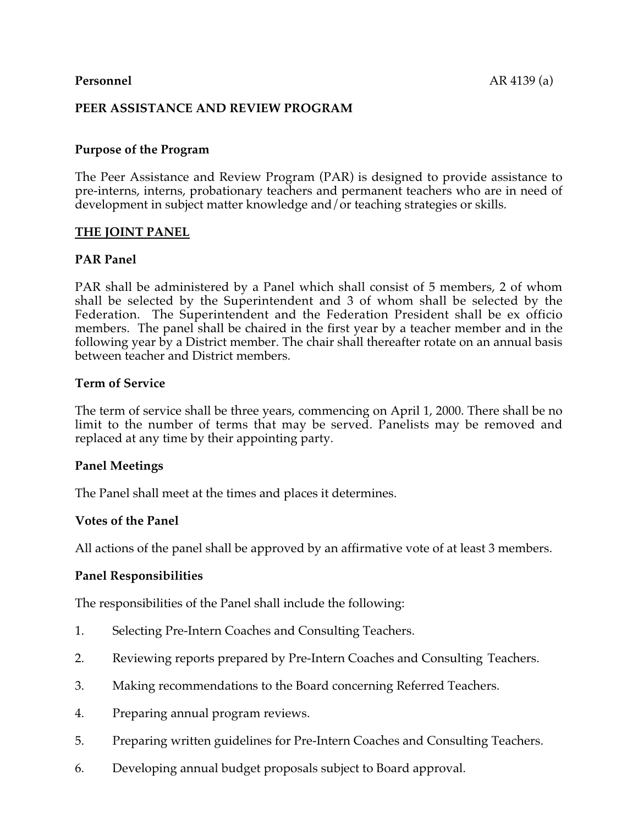# **PEER ASSISTANCE AND REVIEW PROGRAM**

## **Purpose of the Program**

The Peer Assistance and Review Program (PAR) is designed to provide assistance to pre-interns, interns, probationary teachers and permanent teachers who are in need of development in subject matter knowledge and/or teaching strategies or skills.

## **THE JOINT PANEL**

## **PAR Panel**

PAR shall be administered by a Panel which shall consist of 5 members, 2 of whom shall be selected by the Superintendent and 3 of whom shall be selected by the Federation. The Superintendent and the Federation President shall be ex officio members. The panel shall be chaired in the first year by a teacher member and in the following year by a District member. The chair shall thereafter rotate on an annual basis between teacher and District members.

## **Term of Service**

The term of service shall be three years, commencing on April 1, 2000. There shall be no limit to the number of terms that may be served. Panelists may be removed and replaced at any time by their appointing party.

## **Panel Meetings**

The Panel shall meet at the times and places it determines.

## **Votes of the Panel**

All actions of the panel shall be approved by an affirmative vote of at least 3 members.

## **Panel Responsibilities**

The responsibilities of the Panel shall include the following:

- 1. Selecting Pre-Intern Coaches and Consulting Teachers.
- 2. Reviewing reports prepared by Pre-Intern Coaches and Consulting Teachers.
- 3. Making recommendations to the Board concerning Referred Teachers.
- 4. Preparing annual program reviews.
- 5. Preparing written guidelines for Pre-Intern Coaches and Consulting Teachers.
- 6. Developing annual budget proposals subject to Board approval.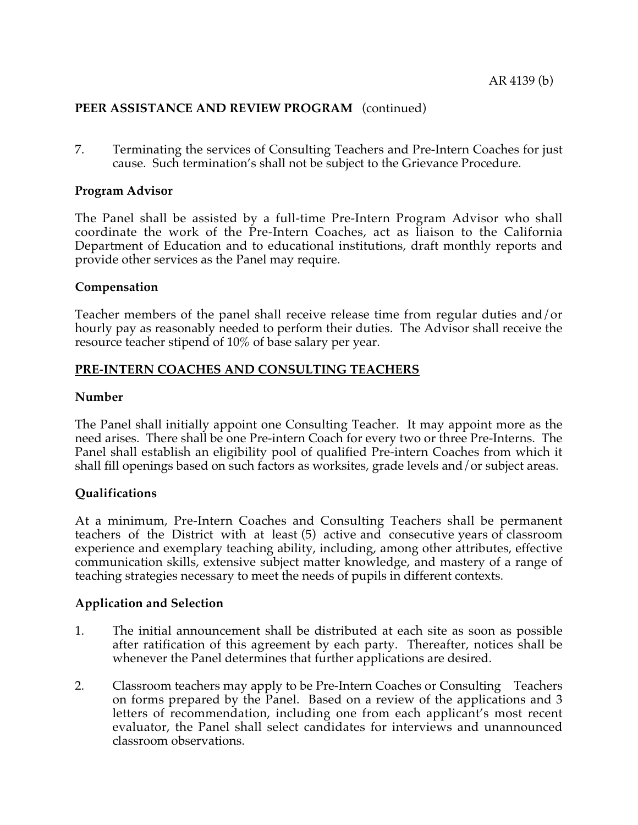7. Terminating the services of Consulting Teachers and Pre-Intern Coaches for just cause. Such termination's shall not be subject to the Grievance Procedure.

## **Program Advisor**

The Panel shall be assisted by a full-time Pre-Intern Program Advisor who shall coordinate the work of the Pre-Intern Coaches, act as liaison to the California Department of Education and to educational institutions, draft monthly reports and provide other services as the Panel may require.

## **Compensation**

Teacher members of the panel shall receive release time from regular duties and/or hourly pay as reasonably needed to perform their duties. The Advisor shall receive the resource teacher stipend of 10% of base salary per year.

# **PRE-INTERN COACHES AND CONSULTING TEACHERS**

## **Number**

The Panel shall initially appoint one Consulting Teacher. It may appoint more as the need arises. There shall be one Pre-intern Coach for every two or three Pre-Interns. The Panel shall establish an eligibility pool of qualified Pre-intern Coaches from which it shall fill openings based on such factors as worksites, grade levels and/or subject areas.

# **Qualifications**

At a minimum, Pre-Intern Coaches and Consulting Teachers shall be permanent teachers of the District with at least (5) active and consecutive years of classroom experience and exemplary teaching ability, including, among other attributes, effective communication skills, extensive subject matter knowledge, and mastery of a range of teaching strategies necessary to meet the needs of pupils in different contexts.

# **Application and Selection**

- 1. The initial announcement shall be distributed at each site as soon as possible after ratification of this agreement by each party. Thereafter, notices shall be whenever the Panel determines that further applications are desired.
- 2. Classroom teachers may apply to be Pre-Intern Coaches or Consulting Teachers on forms prepared by the Panel. Based on a review of the applications and 3 letters of recommendation, including one from each applicant's most recent evaluator, the Panel shall select candidates for interviews and unannounced classroom observations.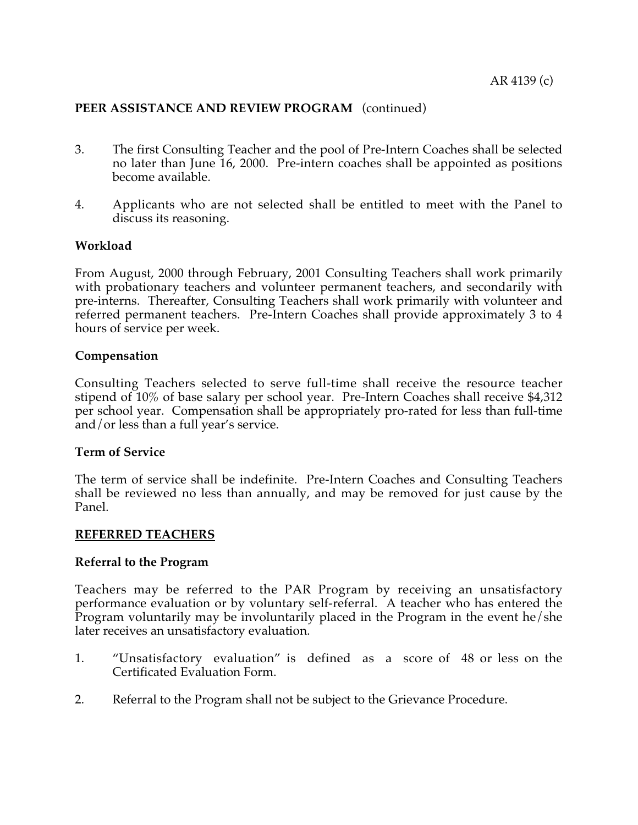- 3. The first Consulting Teacher and the pool of Pre-Intern Coaches shall be selected no later than June 16, 2000. Pre-intern coaches shall be appointed as positions become available.
- 4. Applicants who are not selected shall be entitled to meet with the Panel to discuss its reasoning.

## **Workload**

From August, 2000 through February, 2001 Consulting Teachers shall work primarily with probationary teachers and volunteer permanent teachers, and secondarily with pre-interns. Thereafter, Consulting Teachers shall work primarily with volunteer and referred permanent teachers. Pre-Intern Coaches shall provide approximately 3 to 4 hours of service per week.

## **Compensation**

Consulting Teachers selected to serve full-time shall receive the resource teacher stipend of 10% of base salary per school year. Pre-Intern Coaches shall receive \$4,312 per school year. Compensation shall be appropriately pro-rated for less than full-time and/or less than a full year's service.

## **Term of Service**

The term of service shall be indefinite. Pre-Intern Coaches and Consulting Teachers shall be reviewed no less than annually, and may be removed for just cause by the Panel.

## **REFERRED TEACHERS**

## **Referral to the Program**

Teachers may be referred to the PAR Program by receiving an unsatisfactory performance evaluation or by voluntary self-referral. A teacher who has entered the Program voluntarily may be involuntarily placed in the Program in the event he/she later receives an unsatisfactory evaluation.

- 1. "Unsatisfactory evaluation" is defined as a score of 48 or less on the Certificated Evaluation Form.
- 2. Referral to the Program shall not be subject to the Grievance Procedure.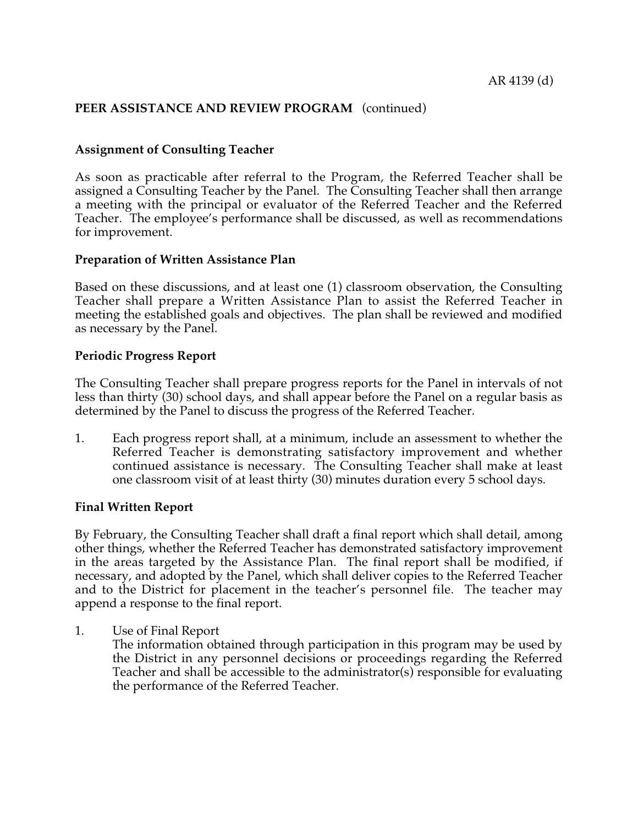# **Assignment of Consulting Teacher**

As soon as practicable after referral to the Program, the Referred Teacher shall be assigned a Consulting Teacher by the Panel. The Consulting Teacher shall then arrange a meeting with the principal or evaluator of the Referred Teacher and the Referred Teacher. The employee's performance shall be discussed, as well as recommendations for improvement.

## **Preparation of Written Assistance Plan**

Based on these discussions, and at least one (1) classroom observation, the Consulting Teacher shall prepare a Written Assistance Plan to assist the Referred Teacher in meeting the established goals and objectives. The plan shall be reviewed and modified as necessary by the Panel.

## **Periodic Progress Report**

The Consulting Teacher shall prepare progress reports for the Panel in intervals of not less than thirty (30) school days, and shall appear before the Panel on a regular basis as determined by the Panel to discuss the progress of the Referred Teacher.

1. Each progress report shall, at a minimum, include an assessment to whether the Referred Teacher is demonstrating satisfactory improvement and whether continued assistance is necessary. The Consulting Teacher shall make at least one classroom visit of at least thirty (30) minutes duration every 5 school days.

## **Final Written Report**

By February, the Consulting Teacher shall draft a final report which shall detail, among other things, whether the Referred Teacher has demonstrated satisfactory improvement in the areas targeted by the Assistance Plan. The final report shall be modified, if necessary, and adopted by the Panel, which shall deliver copies to the Referred Teacher and to the District for placement in the teacher's personnel file. The teacher may append a response to the final report.

1. Use of Final Report

The information obtained through participation in this program may be used by the District in any personnel decisions or proceedings regarding the Referred Teacher and shall be accessible to the administrator(s) responsible for evaluating the performance of the Referred Teacher.